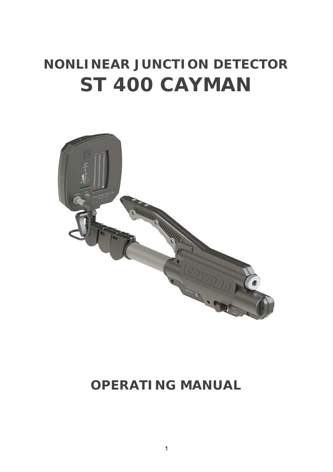# *NONLINEAR JUNCTION DETECTOR ST 400 CAYMAN*



# *OPERATING MANUAL*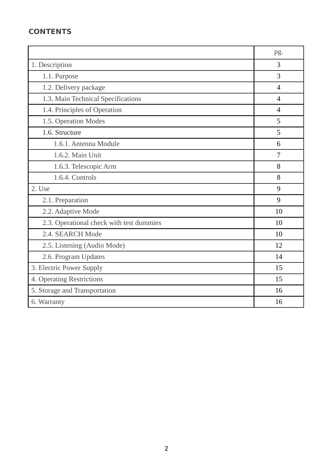# **CONTENTS**

|                                          | pg.            |
|------------------------------------------|----------------|
| 1. Description                           | $\mathcal{R}$  |
| 1.1. Purpose                             | 3              |
| 1.2. Delivery package                    | $\overline{4}$ |
| 1.3. Main Technical Specifications       | $\overline{4}$ |
| 1.4. Principles of Operation             | $\overline{4}$ |
| 1.5. Operation Modes                     | 5              |
| 1.6. Structure                           | 5              |
| 1.6.1. Antenna Module                    | 6              |
| 1.6.2. Main Unit                         | 7              |
| 1.6.3. Telescopic Arm                    | 8              |
| 1.6.4. Controls                          | 8              |
| 2. Use                                   | 9              |
| 2.1. Preparation                         | 9              |
| 2.2. Adaptive Mode                       | 10             |
| 2.3. Operational check with test dummies | 10             |
| 2.4. SEARCH Mode                         | 10             |
| 2.5. Listening (Audio Mode)              | 12             |
| 2.6. Program Updates                     | 14             |
| 3. Electric Power Supply                 | 15             |
| 4. Operating Restrictions                | 15             |
| 5. Storage and Transportation            | 16             |
| 6. Warranty                              | 16             |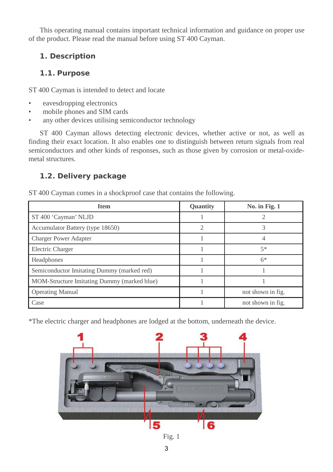This operating manual contains important technical information and guidance on proper use of the product. Please read the manual before using ST 400 Cayman.

# **1. Description**

# *1.1. Purpose*

ST 400 Cayman is intended to detect and locate

- eavesdropping electronics
- mobile phones and SIM cards
- any other devices utilising semiconductor technology

ST 400 Cayman allows detecting electronic devices, whether active or not, as well as finding their exact location. It also enables one to distinguish between return signals from real semiconductors and other kinds of responses, such as those given by corrosion or metal-oxidemetal structures.

# *1.2. Delivery package*

ST 400 Cayman comes in a shockproof case that contains the following.

| <b>Item</b>                                 | Quantity | No. in Fig. $1$   |
|---------------------------------------------|----------|-------------------|
| ST 400 'Cayman' NLJD                        |          |                   |
| Accumulator Battery (type 18650)            |          |                   |
| <b>Charger Power Adapter</b>                |          |                   |
| Electric Charger                            |          | $5*$              |
| Headphones                                  |          | $6*$              |
| Semiconductor Imitating Dummy (marked red)  |          |                   |
| MOM-Structure Imitating Dummy (marked blue) |          |                   |
| <b>Operating Manual</b>                     |          | not shown in fig. |
| Case                                        |          | not shown in fig. |

\*The electric charger and headphones are lodged at the bottom, underneath the device.



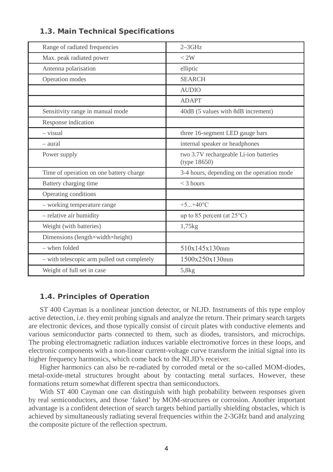| Range of radiated frequencies               | $2-3$ GHz                                              |
|---------------------------------------------|--------------------------------------------------------|
| Max. peak radiated power                    | < 2W                                                   |
| Antenna polarisation                        | elliptic                                               |
| Operation modes                             | <b>SEARCH</b>                                          |
|                                             | <b>AUDIO</b>                                           |
|                                             | <b>ADAPT</b>                                           |
| Sensitivity range in manual mode            | 40dB (5 values with 8dB increment)                     |
| Response indication                         |                                                        |
| $-$ visual                                  | three 16-segment LED gauge bars                        |
| - aural                                     | internal speaker or headphones                         |
| Power supply                                | two 3.7V rechargeable Li-ion batteries<br>(type 18650) |
| Time of operation on one battery charge     | 3-4 hours, depending on the operation mode             |
| Battery charging time                       | $<$ 3 hours                                            |
| Operating conditions                        |                                                        |
| - working temperature range                 | $+5. +40^{\circ}$ C                                    |
| - relative air humidity                     | up to 85 percent (at $25^{\circ}$ C)                   |
| Weight (with batteries)                     | $1,75$ kg                                              |
| Dimensions (length×width×height)            |                                                        |
| - when folded                               | 510x145x130mm                                          |
| - with telescopic arm pulled out completely | 1500x250x130mm                                         |
| Weight of full set in case                  | 5,8kg                                                  |

### *1.3. Main Technical Specifications*

# *1.4. Principles of Operation*

ST 400 Cayman is a nonlinear junction detector, or NLJD. Instruments of this type employ active detection, i.e. they emit probing signals and analyze the return. Their primary search targets are electronic devices, and those typically consist of circuit plates with conductive elements and various semiconductor parts connected to them, such as diodes, transistors, and microchips. The probing electromagnetic radiation induces variable electromotive forces in these loops, and electronic components with a non-linear current-voltage curve transform the initial signal into its higher frequency harmonics, which come back to the NLJD's receiver.

Higher harmonics can also be re-radiated by corroded metal or the so-called MOM-diodes, metal-oxide-metal structures brought about by contacting metal surfaces. However, these formations return somewhat different spectra than semiconductors.

With ST 400 Cayman one can distinguish with high probability between responses given by real semiconductors, and those 'faked' by MOM-structures or corrosion. Another important advantage is a confident detection of search targets behind partially shielding obstacles, which is achieved by simultaneously radiating several frequencies within the 2-3GHz band and analyzing the composite picture of the reflection spectrum.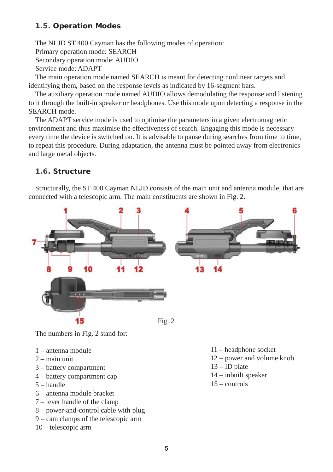# *1.5. Operation Modes*

The NLJD ST 400 Cayman has the following modes of operation:

Primary operation mode: SEARCH

Secondary operation mode: AUDIO

Service mode: ADAPT

The main operation mode named SEARCH is meant for detecting nonlinear targets and identifying them, based on the response levels as indicated by 16-segment bars.

The auxiliary operation mode named AUDIO allows demodulating the response and listening to it through the built-in speaker or headphones. Use this mode upon detecting a response in the SEARCH mode.

The ADAPT service mode is used to optimise the parameters in a given electromagnetic environment and thus maximise the effectiveness of search. Engaging this mode is necessary every time the device is switched on. It is advisable to pause during searches from time to time, to repeat this procedure. During adaptation, the antenna must be pointed away from electronics and large metal objects.

# *1.6. Structure*

Structurally, the ST 400 Cayman NLJD consists of the main unit and antenna module, that are connected with a telescopic arm. The main constituents are shown in Fig. 2.



The numbers in Fig. 2 stand for:

- 1 antenna module
- $2 \text{main unit}$
- 3 battery compartment
- 4 battery compartment cap
- 5 handle
- 6 antenna module bracket
- 7 lever handle of the clamp
- 8 power-and-control cable with plug
- 9 cam clamps of the telescopic arm
- 10 telescopic arm
- 11 headphone socket
- 12 power and volume knob
- $13$  ID plate
- 14 inbuilt speaker
- 15 controls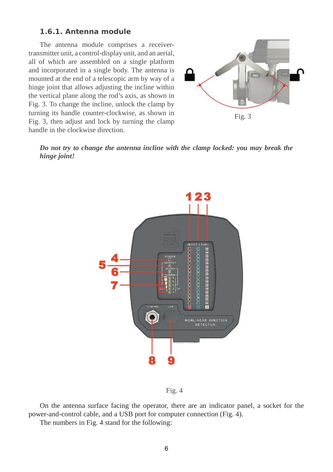#### *1.6.1. Antenna module*

The antenna module comprises a receivertransmitter unit, a control-display unit, and an aerial, all of which are assembled on a single platform and incorporated in a single body. The antenna is mounted at the end of a telescopic arm by way of a hinge joint that allows adjusting the incline within the vertical plane along the rod's axis, as shown in Fig. 3. To change the incline, unlock the clamp by turning its handle counter-clockwise, as shown in Fig. 3, then adjust and lock by turning the clamp handle in the clockwise direction.



*Do not try to change the antenna incline with the clamp locked: you may break the hinge joint!*



Fig. 4

On the antenna surface facing the operator, there are an indicator panel, a socket for the power-and-control cable, and a USB port for computer connection (Fig. 4).

The numbers in Fig. 4 stand for the following: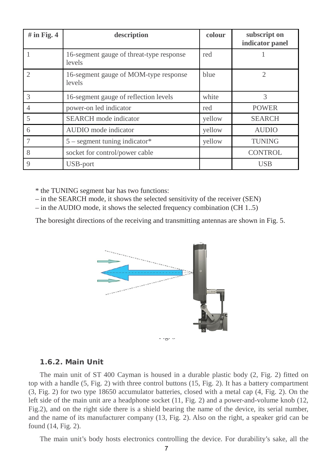| $#$ in Fig. 4  | description                                        | colour | subscript on<br>indicator panel |
|----------------|----------------------------------------------------|--------|---------------------------------|
|                | 16-segment gauge of threat-type response<br>levels | red    |                                 |
|                | 16-segment gauge of MOM-type response<br>levels    | blue   | 2                               |
| 3              | 16-segment gauge of reflection levels              | white  | 3                               |
| $\overline{4}$ | power-on led indicator                             | red    | <b>POWER</b>                    |
| 5              | <b>SEARCH</b> mode indicator                       | yellow | <b>SEARCH</b>                   |
| 6              | AUDIO mode indicator                               | yellow | <b>AUDIO</b>                    |
| $\overline{7}$ | $5$ – segment tuning indicator*                    | yellow | <b>TUNING</b>                   |
| 8              | socket for control/power cable                     |        | <b>CONTROL</b>                  |
| 9              | USB-port                                           |        | <b>USB</b>                      |

\* the TUNING segment bar has two functions:

– in the SEARCH mode, it shows the selected sensitivity of the receiver (SEN)

– in the AUDIO mode, it shows the selected frequency combination (CH 1..5)

The boresight directions of the receiving and transmitting antennas are shown in Fig. 5.



 $\cdot$   $\cdot$   $\circ$   $\cdot$   $\cdot$ 

#### *1.6.2. Main Unit*

The main unit of ST 400 Cayman is housed in a durable plastic body (2, Fig. 2) fitted on top with a handle (5, Fig. 2) with three control buttons (15, Fig. 2). It has a battery compartment (3, Fig. 2) for two type 18650 accumulator batteries, closed with a metal cap (4, Fig. 2). On the left side of the main unit are a headphone socket (11, Fig. 2) and a power-and-volume knob (12, Fig.2), and on the right side there is a shield bearing the name of the device, its serial number, and the name of its manufacturer company (13, Fig. 2). Also on the right, a speaker grid can be found (14, Fig. 2).

The main unit's body hosts electronics controlling the device. For durability's sake, all the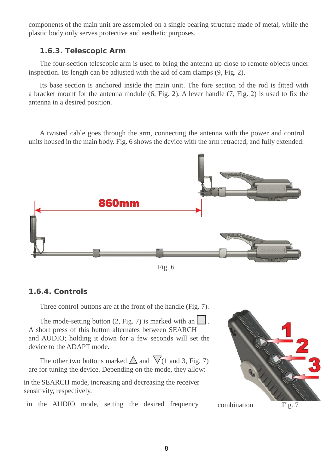components of the main unit are assembled on a single bearing structure made of metal, while the plastic body only serves protective and aesthetic purposes.

## *1.6.3. Telescopic Arm*

The four-section telescopic arm is used to bring the antenna up close to remote objects under inspection. Its length can be adjusted with the aid of cam clamps (9, Fig. 2).

Its base section is anchored inside the main unit. The fore section of the rod is fitted with a bracket mount for the antenna module (6, Fig. 2). A lever handle (7, Fig. 2) is used to fix the antenna in a desired position.

A twisted cable goes through the arm, connecting the antenna with the power and control units housed in the main body. Fig. 6 shows the device with the arm retracted, and fully extended.



Fig. 6

# *1.6.4. Controls*

Three control buttons are at the front of the handle (Fig. 7).

The mode-setting button  $(2, Fig. 7)$  is marked with an A short press of this button alternates between SEARCH and AUDIO; holding it down for a few seconds will set the device to the ADAPT mode.

The other two buttons marked  $\triangle$  and  $\nabla$ (1 and 3, Fig. 7) are for tuning the device. Depending on the mode, they allow:

in the SEARCH mode, increasing and decreasing the receiver sensitivity, respectively.

in the AUDIO mode, setting the desired frequency combination Fig. 7

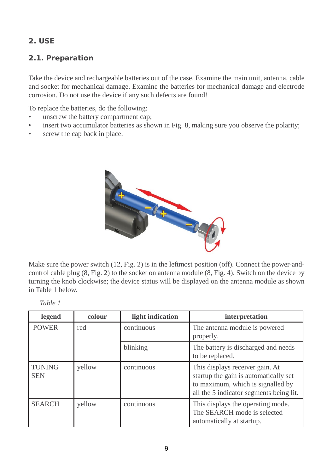# **2. USE**

# *2.1. Preparation*

Take the device and rechargeable batteries out of the case. Examine the main unit, antenna, cable and socket for mechanical damage. Examine the batteries for mechanical damage and electrode corrosion. Do not use the device if any such defects are found!

To replace the batteries, do the following:

- unscrew the battery compartment cap;
- insert two accumulator batteries as shown in Fig. 8, making sure you observe the polarity;
- screw the cap back in place.



Make sure the power switch (12, Fig. 2) is in the leftmost position (off). Connect the power-andcontrol cable plug (8, Fig. 2) to the socket on antenna module (8, Fig. 4). Switch on the device by turning the knob clockwise; the device status will be displayed on the antenna module as shown in Table 1 below.

| えいひょし エ                     |        |                  |                                                                                                                                                          |
|-----------------------------|--------|------------------|----------------------------------------------------------------------------------------------------------------------------------------------------------|
| legend                      | colour | light indication | interpretation                                                                                                                                           |
| <b>POWER</b>                | red    | continuous       | The antenna module is powered.<br>properly.                                                                                                              |
|                             |        | blinking         | The battery is discharged and needs<br>to be replaced.                                                                                                   |
| <b>TUNING</b><br><b>SEN</b> | yellow | continuous       | This displays receiver gain. At<br>startup the gain is automatically set<br>to maximum, which is signalled by<br>all the 5 indicator segments being lit. |
| <b>SEARCH</b>               | yellow | continuous       | This displays the operating mode.<br>The SEARCH mode is selected<br>automatically at startup.                                                            |

*Table 1*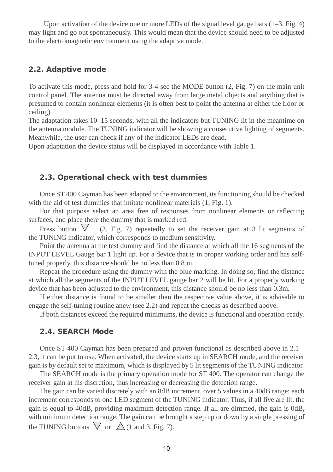Upon activation of the device one or more LEDs of the signal level gauge bars  $(1-3, Fig. 4)$ may light and go out spontaneously. This would mean that the device should need to be adjusted to the electromagnetic environment using the adaptive mode.

#### *2.2. Adaptive mode*

To activate this mode, press and hold for 3-4 sec the MODE button (2, Fig. 7) on the main unit control panel. The antenna must be directed away from large metal objects and anything that is presumed to contain nonlinear elements (it is often best to point the antenna at either the floor or ceiling).

The adaptation takes 10–15 seconds, with all the indicators but TUNING lit in the meantime on the antenna module. The TUNING indicator will be showing a consecutive lighting of segments. Meanwhile, the user can check if any of the indicator LEDs are dead.

Upon adaptation the device status will be displayed in accordance with Table 1.

#### *2.3. Operational check with test dummies*

Once ST 400 Cayman has been adapted to the environment, its functioning should be checked with the aid of test dummies that imitate nonlinear materials  $(1, Fig. 1)$ .

For that purpose select an area free of responses from nonlinear elements or reflecting surfaces, and place there the dummy that is marked red.

Press button  $\sqrt{(3, Fig. 7)}$  repeatedly to set the receiver gain at 3 lit segments of the TUNING indicator, which corresponds to medium sensitivity.

Point the antenna at the test dummy and find the distance at which all the 16 segments of the INPUT LEVEL Gauge bar 1 light up. For a device that is in proper working order and has selftuned properly, this distance should be no less than 0.8 m.

Repeat the procedure using the dummy with the blue marking. In doing so, find the distance at which all the segments of the INPUT LEVEL gauge bar 2 will be lit. For a properly working device that has been adjusted to the environment, this distance should be no less than 0.3m.

If either distance is found to be smaller than the respective value above, it is advisable to engage the self-tuning routine anew (see 2.2) and repeat the checks as described above.

If both distances exceed the required minimums, the device is functional and operation-ready.

#### *2.4. SEARCH Mode*

Once ST 400 Cayman has been prepared and proven functional as described above in 2.1 – 2.3, it can be put to use. When activated, the device starts up in SEARCH mode, and the receiver gain is by default set to maximum, which is displayed by 5 lit segments of the TUNING indicator.

The SEARCH mode is the primary operation mode for ST 400. The operator can change the receiver gain at his discretion, thus increasing or decreasing the detection range.

The gain can be varied discretely with an 8dB increment, over 5 values in a 40dB range; each increment corresponds to one LED segment of the TUNING indicator. Thus, if all five are lit, the gain is equal to 40dB, providing maximum detection range. If all are dimmed, the gain is 0dB, with minimum detection range. The gain can be brought a step up or down by a single pressing of the TUNING buttons  $\bigvee$  or  $\bigtriangleup$  (1 and 3, Fig. 7).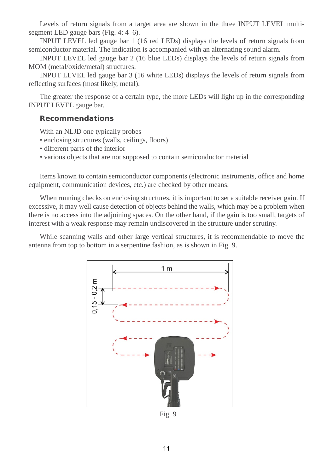Levels of return signals from a target area are shown in the three INPUT LEVEL multisegment LED gauge bars (Fig. 4: 4–6).

INPUT LEVEL led gauge bar 1 (16 red LEDs) displays the levels of return signals from semiconductor material. The indication is accompanied with an alternating sound alarm.

INPUT LEVEL led gauge bar 2 (16 blue LEDs) displays the levels of return signals from MOM (metal/oxide/metal) structures.

INPUT LEVEL led gauge bar 3 (16 white LEDs) displays the levels of return signals from reflecting surfaces (most likely, metal).

The greater the response of a certain type, the more LEDs will light up in the corresponding INPUT LEVEL gauge bar.

# *Recommendations*

With an NLJD one typically probes

- enclosing structures (walls, ceilings, floors)
- different parts of the interior
- various objects that are not supposed to contain semiconductor material

Items known to contain semiconductor components (electronic instruments, office and home equipment, communication devices, etc.) are checked by other means.

When running checks on enclosing structures, it is important to set a suitable receiver gain. If excessive, it may well cause detection of objects behind the walls, which may be a problem when there is no access into the adjoining spaces. On the other hand, if the gain is too small, targets of interest with a weak response may remain undiscovered in the structure under scrutiny.

While scanning walls and other large vertical structures, it is recommendable to move the antenna from top to bottom in a serpentine fashion, as is shown in Fig. 9.



Fig. 9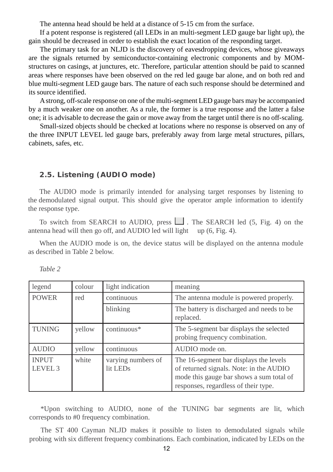The antenna head should be held at a distance of 5-15 cm from the surface.

If a potent response is registered (all LEDs in an multi-segment LED gauge bar light up), the gain should be decreased in order to establish the exact location of the responding target.

The primary task for an NLJD is the discovery of eavesdropping devices, whose giveaways are the signals returned by semiconductor-containing electronic components and by MOMstructures on casings, at junctures, etc. Therefore, particular attention should be paid to scanned areas where responses have been observed on the red led gauge bar alone, and on both red and blue multi-segment LED gauge bars. The nature of each such response should be determined and its source identified.

A strong, off-scale response on one ofthe multi-segment LED gauge bars may be accompanied by a much weaker one on another. As a rule, the former is a true response and the latter a false one; it is advisable to decrease the gain or move away from the target until there is no off-scaling.

Small-sized objects should be checked at locations where no response is observed on any of the three INPUT LEVEL led gauge bars, preferably away from large metal structures, pillars, cabinets, safes, etc.

#### *2.5. Listening (AUDIO mode)*

The AUDIO mode is primarily intended for analysing target responses by listening to the demodulated signal output. This should give the operator ample information to identify the response type.

To switch from SEARCH to AUDIO, press  $\Box$ . The SEARCH led (5, Fig. 4) on the antenna head will then go off, and AUDIO led will light up (6, Fig. 4).

When the AUDIO mode is on, the device status will be displayed on the antenna module as described in Table 2 below.

| legend                             | colour | light indication               | meaning                                                                                                                                                               |
|------------------------------------|--------|--------------------------------|-----------------------------------------------------------------------------------------------------------------------------------------------------------------------|
| <b>POWER</b>                       | red    | continuous                     | The antenna module is powered properly.                                                                                                                               |
|                                    |        | blinking                       | The battery is discharged and needs to be.<br>replaced.                                                                                                               |
| <b>TUNING</b>                      | yellow | continuous*                    | The 5-segment bar displays the selected<br>probing frequency combination.                                                                                             |
| <b>AUDIO</b>                       | yellow | continuous                     | AUDIO mode on.                                                                                                                                                        |
| <b>INPUT</b><br>LEVEL <sub>3</sub> | white  | varying numbers of<br>lit LEDs | The 16-segment bar displays the levels<br>of returned signals. Note: in the AUDIO<br>mode this gauge bar shows a sum total of<br>responses, regardless of their type. |

*Table 2*

\*Upon switching to AUDIO, none of the TUNING bar segments are lit, which corresponds to #0 frequency combination.

The ST 400 Cayman NLJD makes it possible to listen to demodulated signals while probing with six different frequency combinations. Each combination, indicated by LEDs on the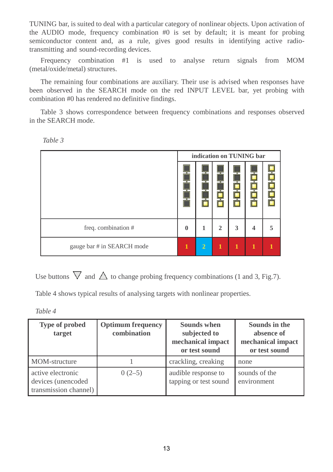TUNING bar, is suited to deal with a particular category of nonlinear objects. Upon activation of the AUDIO mode, frequency combination #0 is set by default; it is meant for probing semiconductor content and, as a rule, gives good results in identifying active radiotransmitting and sound-recording devices.

Frequency combination #1 is used to analyse return signals from MOM (metal/oxide/metal) structures.

The remaining four combinations are auxiliary. Their use is advised when responses have been observed in the SEARCH mode on the red INPUT LEVEL bar, yet probing with combination #0 has rendered no definitive findings.

Table 3 shows correspondence between frequency combinations and responses observed in the SEARCH mode.

| ٩ |  |
|---|--|
|---|--|

| indication on TUNING bar   |              |                |                |   |   |  |
|----------------------------|--------------|----------------|----------------|---|---|--|
|                            |              |                |                |   |   |  |
| freq. combination #        | $\mathbf{0}$ |                | $\overline{2}$ | 3 | 4 |  |
| gauge bar # in SEARCH mode | 1            | $\overline{2}$ | T              |   |   |  |

Use buttons  $\nabla$  and  $\Delta$  to change probing frequency combinations (1 and 3, Fig.7).

Table 4 shows typical results of analysing targets with nonlinear properties.

*Table 4*

| <b>Type of probed</b><br>target                                  | <b>Optimum</b> frequency<br>combination | Sounds when<br>subjected to<br>mechanical impact<br>or test sound | Sounds in the<br>absence of<br>mechanical impact<br>or test sound |
|------------------------------------------------------------------|-----------------------------------------|-------------------------------------------------------------------|-------------------------------------------------------------------|
| MOM-structure                                                    |                                         | crackling, creaking                                               | none                                                              |
| active electronic<br>devices (unencoded<br>transmission channel) | $0(2-5)$                                | audible response to<br>tapping or test sound                      | sounds of the<br>environment                                      |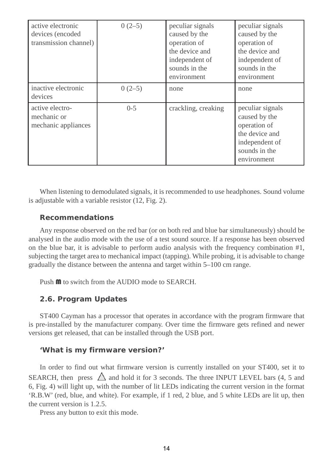| active electronic<br>devices (encoded<br>transmission channel) | $0(2-5)$ | peculiar signals<br>caused by the<br>operation of<br>the device and<br>independent of<br>sounds in the<br>environment | peculiar signals<br>caused by the<br>operation of<br>the device and<br>independent of<br>sounds in the<br>environment |
|----------------------------------------------------------------|----------|-----------------------------------------------------------------------------------------------------------------------|-----------------------------------------------------------------------------------------------------------------------|
| inactive electronic<br>devices                                 | $0(2-5)$ | none                                                                                                                  | none                                                                                                                  |
| active electro-<br>mechanic or<br>mechanic appliances          | $0-5$    | crackling, creaking                                                                                                   | peculiar signals<br>caused by the<br>operation of<br>the device and<br>independent of<br>sounds in the<br>environment |

When listening to demodulated signals, it is recommended to use headphones. Sound volume is adjustable with a variable resistor (12, Fig. 2).

# *Recommendations*

Any response observed on the red bar (or on both red and blue bar simultaneously) should be analysed in the audio mode with the use of a test sound source. If a response has been observed on the blue bar, it is advisable to perform audio analysis with the frequency combination #1, subjecting the target area to mechanical impact (tapping). While probing, it is advisable to change gradually the distance between the antenna and target within 5–100 cm range.

Push  $\mathbf{M}$  to switch from the AUDIO mode to SEARCH.

# *2.6. Program Updates*

ST400 Cayman has a processor that operates in accordance with the program firmware that is pre-installed by the manufacturer company. Over time the firmware gets refined and newer versions get released, that can be installed through the USB port.

# *'What is my firmware version?'*

In order to find out what firmware version is currently installed on your ST400, set it to SEARCH, then press  $\triangle$  and hold it for 3 seconds. The three INPUT LEVEL bars (4, 5 and 6, Fig. 4) will light up, with the number of lit LEDs indicating the current version in the format 'R.B.W' (red, blue, and white). For example, if 1 red, 2 blue, and 5 white LEDs are lit up, then the current version is 1.2.5.

Press any button to exit this mode.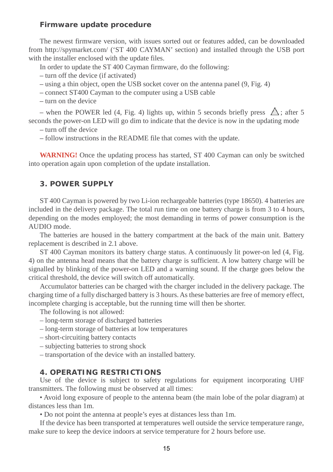#### *Firmware update procedure*

The newest firmware version, with issues sorted out or features added, can be downloaded from <http://spymarket.com/> ('ST 400 CAYMAN' section) and installed through the USB port with the installer enclosed with the update files.

In order to update the ST 400 Cayman firmware, do the following:

– turn off the device (if activated)

- using a thin object, open the USB socket cover on the antenna panel (9, Fig. 4)
- connect ST400 Cayman to the computer using a USB cable
- turn on the device

– when the POWER led (4, Fig. 4) lights up, within 5 seconds briefly press  $\triangle$ ; after 5 seconds the power-on LED will go dim to indicate that the device is now in the updating mode

– turn off the device

– follow instructions in the README file that comes with the update.

**WARNING!** Once the updating process has started, ST 400 Cayman can only be switched into operation again upon completion of the update installation.

### **3. POWER SUPPLY**

ST 400 Cayman is powered by two Li-ion rechargeable batteries (type 18650). 4 batteries are included in the delivery package. The total run time on one battery charge is from 3 to 4 hours, depending on the modes employed; the most demanding in terms of power consumption is the AUDIO mode.

The batteries are housed in the battery compartment at the back of the main unit. Battery replacement is described in 2.1 above.

ST 400 Cayman monitors its battery charge status. A continuously lit power-on led (4, Fig. 4) on the antenna head means that the battery charge is sufficient. A low battery charge will be signalled by blinking of the power-on LED and a warning sound. If the charge goes below the critical threshold, the device will switch off automatically.

Accumulator batteries can be charged with the charger included in the delivery package. The charging time of a fully discharged battery is 3 hours. As these batteries are free of memory effect, incomplete charging is acceptable, but the running time will then be shorter.

The following is not allowed:

- long-term storage of discharged batteries
- long-term storage of batteries at low temperatures
- short-circuiting battery contacts
- subjecting batteries to strong shock
- transportation of the device with an installed battery.

### **4. OPERATING RESTRICTIONS**

Use of the device is subject to safety regulations for equipment incorporating UHF transmitters. The following must be observed at all times:

• Avoid long exposure of people to the antenna beam (the main lobe of the polar diagram) at distances less than 1m.

• Do not point the antenna at people's eyes at distances less than 1m.

If the device has been transported at temperatures well outside the service temperature range, make sure to keep the device indoors at service temperature for 2 hours before use.